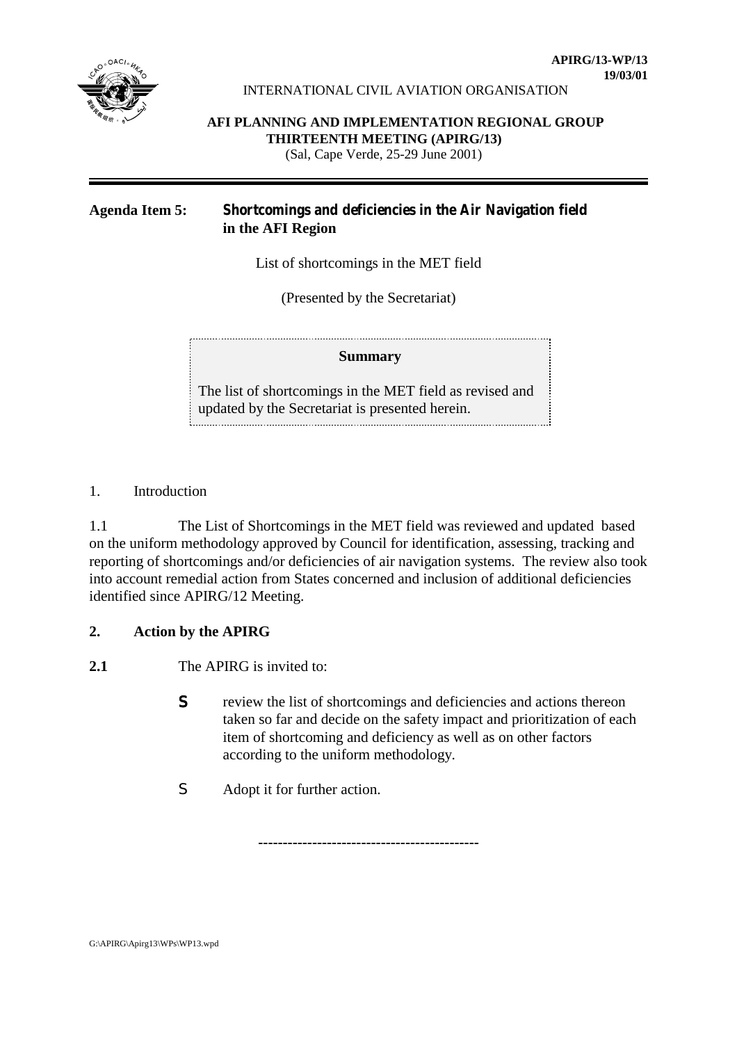

### INTERNATIONAL CIVIL AVIATION ORGANISATION

**AFI PLANNING AND IMPLEMENTATION REGIONAL GROUP THIRTEENTH MEETING (APIRG/13)** (Sal, Cape Verde, 25-29 June 2001)

## **Agenda Item 5: Shortcomings and deficiencies in the Air Navigation field in the AFI Region**

List of shortcomings in the MET field

(Presented by the Secretariat)

## **Summary**

The list of shortcomings in the MET field as revised and updated by the Secretariat is presented herein.

1. Introduction

1.1 The List of Shortcomings in the MET field was reviewed and updated based on the uniform methodology approved by Council for identification, assessing, tracking and reporting of shortcomings and/or deficiencies of air navigation systems. The review also took into account remedial action from States concerned and inclusion of additional deficiencies identified since APIRG/12 Meeting.

## **2. Action by the APIRG**

**2.1** The APIRG is invited to:

S review the list of shortcomings and deficiencies and actions thereon taken so far and decide on the safety impact and prioritization of each item of shortcoming and deficiency as well as on other factors according to the uniform methodology.

**---------------------------------------------**

S Adopt it for further action.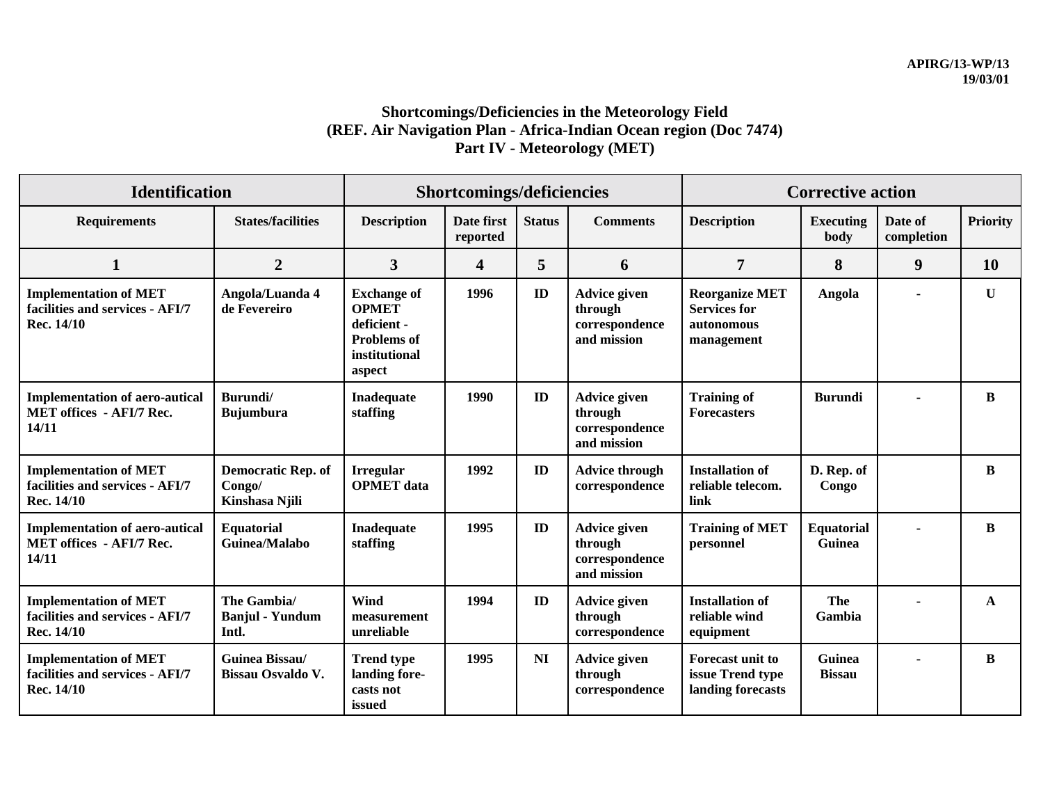# **Shortcomings/Deficiencies in the Meteorology Field (REF. Air Navigation Plan - Africa-Indian Ocean region (Doc 7474) Part IV - Meteorology (MET)**

| <b>Identification</b>                                                             |                                                       | Shortcomings/deficiencies                                                                          |                        |               |                                                                 | <b>Corrective action</b>                                                 |                                |                       |                 |
|-----------------------------------------------------------------------------------|-------------------------------------------------------|----------------------------------------------------------------------------------------------------|------------------------|---------------|-----------------------------------------------------------------|--------------------------------------------------------------------------|--------------------------------|-----------------------|-----------------|
| <b>Requirements</b>                                                               | <b>States/facilities</b>                              | <b>Description</b>                                                                                 | Date first<br>reported | <b>Status</b> | <b>Comments</b>                                                 | <b>Description</b>                                                       | <b>Executing</b><br>body       | Date of<br>completion | <b>Priority</b> |
| $\mathbf{1}$                                                                      | $\overline{2}$                                        | $\overline{3}$                                                                                     | 4                      | 5             | 6                                                               | $\overline{7}$                                                           | 8                              | 9                     | 10              |
| <b>Implementation of MET</b><br>facilities and services - AFI/7<br>Rec. 14/10     | Angola/Luanda 4<br>de Fevereiro                       | <b>Exchange of</b><br><b>OPMET</b><br>deficient -<br><b>Problems</b> of<br>institutional<br>aspect | 1996                   | $\mathbf{ID}$ | <b>Advice given</b><br>through<br>correspondence<br>and mission | <b>Reorganize MET</b><br><b>Services for</b><br>autonomous<br>management | Angola                         |                       | $\mathbf{U}$    |
| <b>Implementation of aero-autical</b><br><b>MET offices - AFI/7 Rec.</b><br>14/11 | Burundi/<br><b>Bujumbura</b>                          | <b>Inadequate</b><br>staffing                                                                      | 1990                   | ID            | Advice given<br>through<br>correspondence<br>and mission        | <b>Training of</b><br><b>Forecasters</b>                                 | <b>Burundi</b>                 |                       | B               |
| <b>Implementation of MET</b><br>facilities and services - AFI/7<br>Rec. 14/10     | <b>Democratic Rep. of</b><br>Congo/<br>Kinshasa Njili | <b>Irregular</b><br><b>OPMET</b> data                                                              | 1992                   | ID            | <b>Advice through</b><br>correspondence                         | <b>Installation of</b><br>reliable telecom.<br>link                      | D. Rep. of<br>Congo            |                       | B               |
| <b>Implementation of aero-autical</b><br><b>MET offices - AFI/7 Rec.</b><br>14/11 | <b>Equatorial</b><br>Guinea/Malabo                    | <b>Inadequate</b><br>staffing                                                                      | 1995                   | ID            | Advice given<br>through<br>correspondence<br>and mission        | <b>Training of MET</b><br>personnel                                      | <b>Equatorial</b><br>Guinea    |                       | B               |
| <b>Implementation of MET</b><br>facilities and services - AFI/7<br>Rec. 14/10     | The Gambia/<br><b>Banjul - Yundum</b><br>Intl.        | Wind<br>measurement<br>unreliable                                                                  | 1994                   | ID            | <b>Advice given</b><br>through<br>correspondence                | <b>Installation of</b><br>reliable wind<br>equipment                     | The<br>Gambia                  |                       | A               |
| <b>Implementation of MET</b><br>facilities and services - AFI/7<br>Rec. 14/10     | Guinea Bissau/<br><b>Bissau Osvaldo V.</b>            | <b>Trend type</b><br>landing fore-<br>casts not<br>issued                                          | 1995                   | NI            | <b>Advice given</b><br>through<br>correspondence                | <b>Forecast unit to</b><br>issue Trend type<br>landing forecasts         | <b>Guinea</b><br><b>Bissau</b> |                       | B               |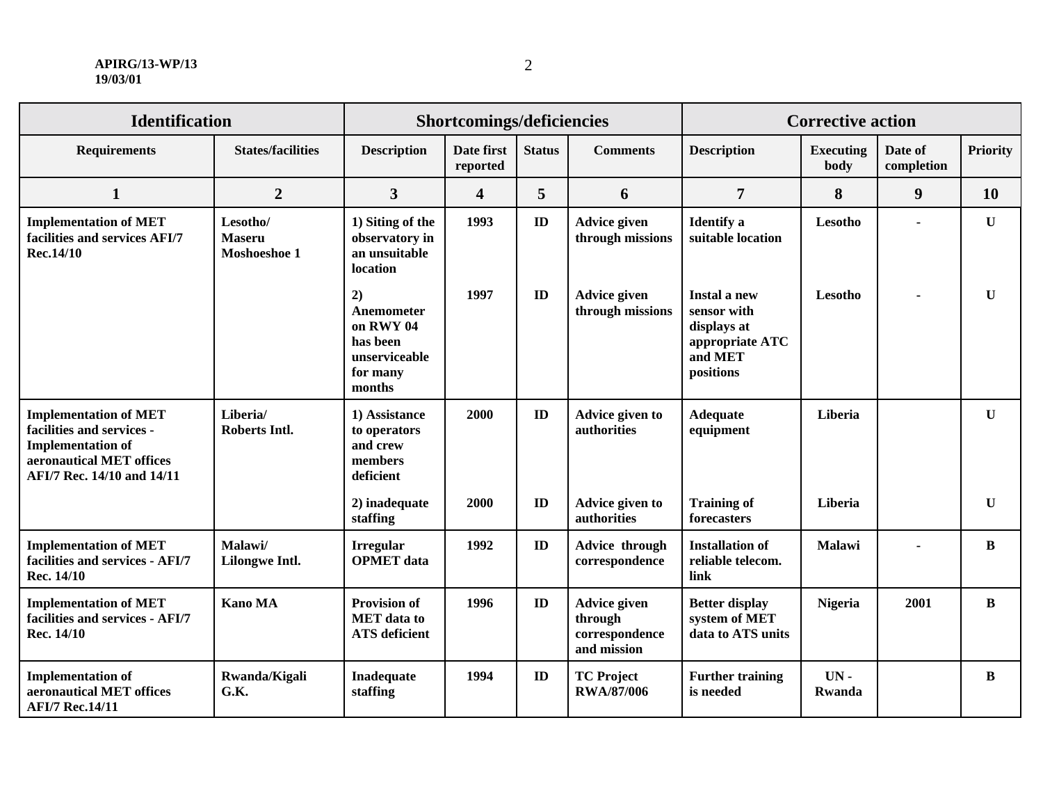#### **APIRG/13-WP/13 19/03/01**

| <b>Identification</b>                                                                                                                           |                                           | Shortcomings/deficiencies                                                        |                         |               |                                                          | <b>Corrective action</b>                                                                     |                          |                       |                 |
|-------------------------------------------------------------------------------------------------------------------------------------------------|-------------------------------------------|----------------------------------------------------------------------------------|-------------------------|---------------|----------------------------------------------------------|----------------------------------------------------------------------------------------------|--------------------------|-----------------------|-----------------|
| <b>Requirements</b>                                                                                                                             | <b>States/facilities</b>                  | <b>Description</b>                                                               | Date first<br>reported  | <b>Status</b> | <b>Comments</b>                                          | <b>Description</b>                                                                           | <b>Executing</b><br>body | Date of<br>completion | <b>Priority</b> |
| $\mathbf{1}$                                                                                                                                    | $\overline{2}$                            | $\overline{3}$                                                                   | $\overline{\mathbf{4}}$ | 5             | 6                                                        | $\overline{7}$                                                                               | 8                        | $\boldsymbol{9}$      | 10              |
| <b>Implementation of MET</b><br>facilities and services AFI/7<br>Rec.14/10                                                                      | Lesotho/<br><b>Maseru</b><br>Moshoeshoe 1 | 1) Siting of the<br>observatory in<br>an unsuitable<br>location                  | 1993                    | ID            | <b>Advice given</b><br>through missions                  | <b>Identify</b> a<br>suitable location                                                       | Lesotho                  | ä,                    | $\mathbf{U}$    |
|                                                                                                                                                 |                                           | 2)<br>Anemometer<br>on RWY 04<br>has been<br>unserviceable<br>for many<br>months | 1997                    | ID            | <b>Advice given</b><br>through missions                  | <b>Instal a new</b><br>sensor with<br>displays at<br>appropriate ATC<br>and MET<br>positions | Lesotho                  |                       | $\mathbf{U}$    |
| <b>Implementation of MET</b><br>facilities and services -<br><b>Implementation of</b><br>aeronautical MET offices<br>AFI/7 Rec. 14/10 and 14/11 | Liberia/<br><b>Roberts Intl.</b>          | 1) Assistance<br>to operators<br>and crew<br>members<br>deficient                | 2000                    | ID            | Advice given to<br>authorities                           | <b>Adequate</b><br>equipment                                                                 | Liberia                  |                       | $\mathbf U$     |
|                                                                                                                                                 |                                           | 2) inadequate<br>staffing                                                        | 2000                    | ID            | Advice given to<br>authorities                           | <b>Training of</b><br>forecasters                                                            | Liberia                  |                       | U               |
| <b>Implementation of MET</b><br>facilities and services - AFI/7<br>Rec. 14/10                                                                   | Malawi/<br><b>Lilongwe Intl.</b>          | <b>Irregular</b><br><b>OPMET</b> data                                            | 1992                    | ID            | Advice through<br>correspondence                         | <b>Installation of</b><br>reliable telecom.<br>link                                          | <b>Malawi</b>            | ä,                    | $\bf{B}$        |
| <b>Implementation of MET</b><br>facilities and services - AFI/7<br>Rec. 14/10                                                                   | <b>Kano MA</b>                            | <b>Provision of</b><br><b>MET</b> data to<br><b>ATS</b> deficient                | 1996                    | ID            | Advice given<br>through<br>correspondence<br>and mission | <b>Better display</b><br>system of MET<br>data to ATS units                                  | <b>Nigeria</b>           | 2001                  | $\bf{B}$        |
| <b>Implementation of</b><br>aeronautical MET offices<br><b>AFI/7 Rec.14/11</b>                                                                  | Rwanda/Kigali<br>G.K.                     | Inadequate<br>staffing                                                           | 1994                    | ID            | <b>TC Project</b><br><b>RWA/87/006</b>                   | <b>Further training</b><br>is needed                                                         | $UN -$<br><b>Rwanda</b>  |                       | B               |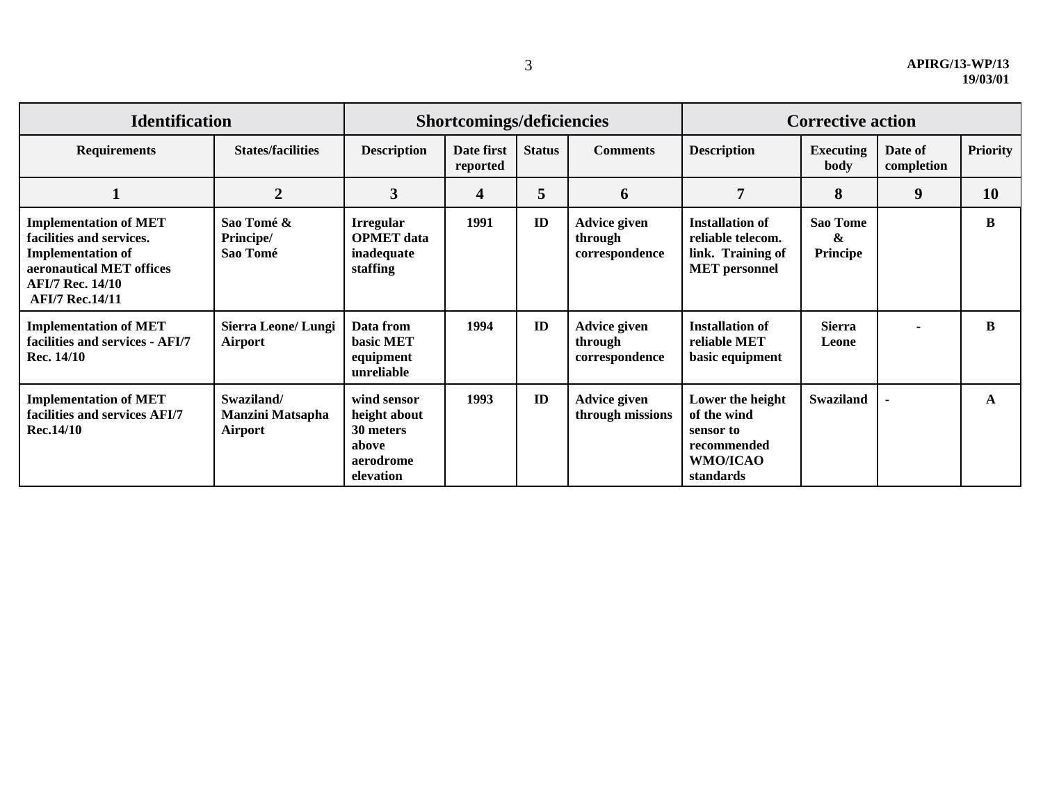| <b>Identification</b>                                                                                                                                                 |                                                  | Shortcomings/deficiencies                                                   |                        |               |                                           | <b>Corrective action</b>                                                                    |                                  |                       |                 |
|-----------------------------------------------------------------------------------------------------------------------------------------------------------------------|--------------------------------------------------|-----------------------------------------------------------------------------|------------------------|---------------|-------------------------------------------|---------------------------------------------------------------------------------------------|----------------------------------|-----------------------|-----------------|
| <b>Requirements</b>                                                                                                                                                   | <b>States/facilities</b>                         | <b>Description</b>                                                          | Date first<br>reported | <b>Status</b> | <b>Comments</b>                           | <b>Description</b>                                                                          | <b>Executing</b><br>body         | Date of<br>completion | <b>Priority</b> |
| л                                                                                                                                                                     | $\overline{2}$                                   | $\overline{\mathbf{3}}$                                                     | 4                      | 5             | 6                                         | 7                                                                                           | 8                                | 9                     | <b>10</b>       |
| <b>Implementation of MET</b><br>facilities and services.<br><b>Implementation of</b><br>aeronautical MET offices<br><b>AFI/7 Rec. 14/10</b><br><b>AFI/7 Rec.14/11</b> | Sao Tomé &<br>Principe/<br>Sao Tomé              | <b>Irregular</b><br><b>OPMET</b> data<br>inadequate<br>staffing             | 1991                   | ID            | Advice given<br>through<br>correspondence | <b>Installation of</b><br>reliable telecom.<br>link. Training of<br><b>MET</b> personnel    | <b>Sao Tome</b><br>&<br>Principe |                       | B               |
| <b>Implementation of MET</b><br>facilities and services - AFI/7<br>Rec. 14/10                                                                                         | <b>Sierra Leone/Lungi</b><br>Airport             | Data from<br><b>basic MET</b><br>equipment<br>unreliable                    | 1994                   | ID            | Advice given<br>through<br>correspondence | <b>Installation of</b><br>reliable MET<br>basic equipment                                   | <b>Sierra</b><br>Leone           |                       | <sub>R</sub>    |
| <b>Implementation of MET</b><br>facilities and services AFI/7<br><b>Rec.14/10</b>                                                                                     | Swaziland/<br><b>Manzini Matsapha</b><br>Airport | wind sensor<br>height about<br>30 meters<br>above<br>aerodrome<br>elevation | 1993                   | ID            | Advice given<br>through missions          | Lower the height<br>of the wind<br>sensor to<br>recommended<br><b>WMO/ICAO</b><br>standards | <b>Swaziland</b>                 |                       | A               |